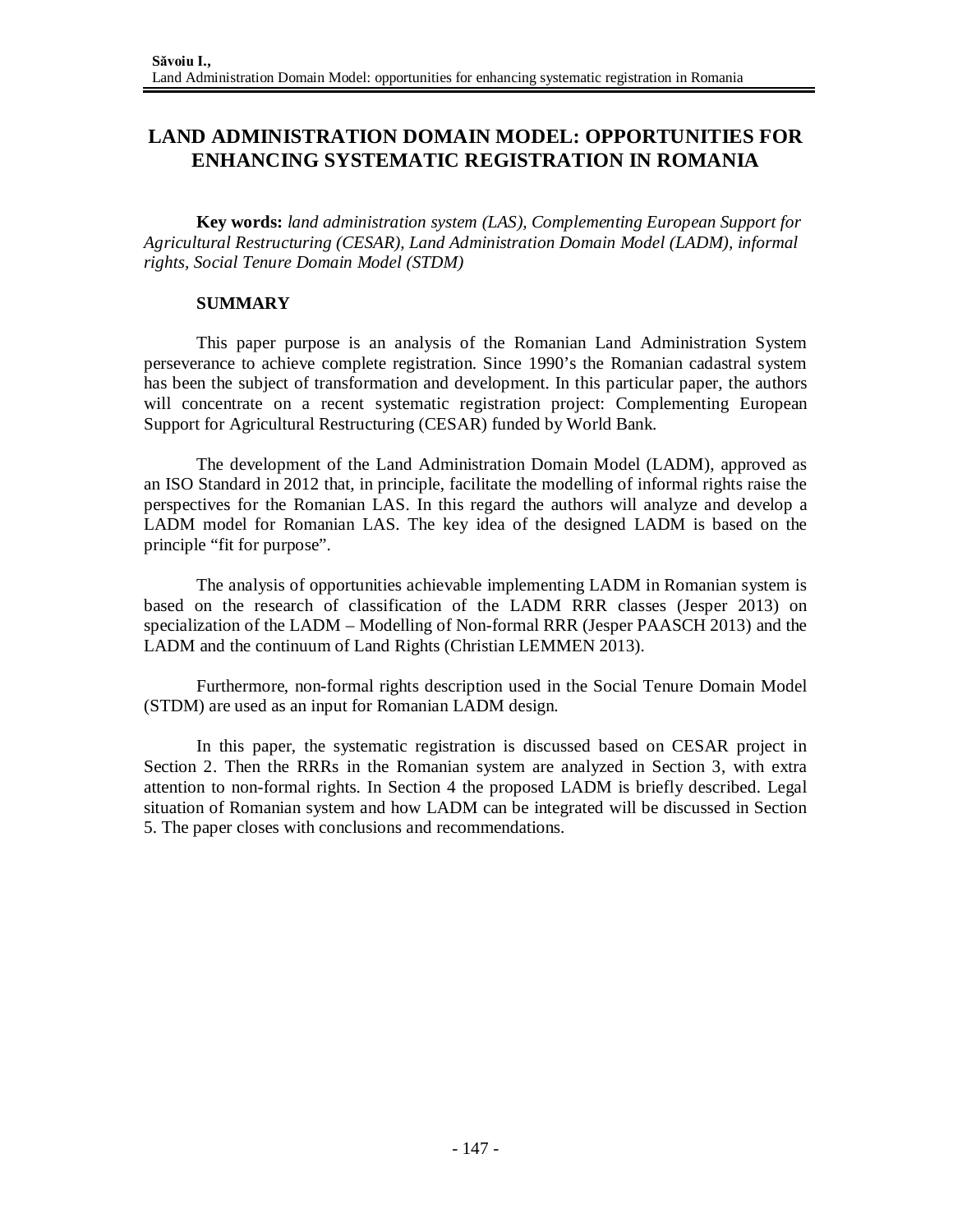# **LAND ADMINISTRATION DOMAIN MODEL: OPPORTUNITIES FOR ENHANCING SYSTEMATIC REGISTRATION IN ROMANIA**

**Key words:** *land administration system (LAS), Complementing European Support for Agricultural Restructuring (CESAR), Land Administration Domain Model (LADM), informal rights, Social Tenure Domain Model (STDM)*

#### **SUMMARY**

This paper purpose is an analysis of the Romanian Land Administration System perseverance to achieve complete registration. Since 1990's the Romanian cadastral system has been the subject of transformation and development. In this particular paper, the authors will concentrate on a recent systematic registration project: Complementing European Support for Agricultural Restructuring (CESAR) funded by World Bank.

The development of the Land Administration Domain Model (LADM), approved as an ISO Standard in 2012 that, in principle, facilitate the modelling of informal rights raise the perspectives for the Romanian LAS. In this regard the authors will analyze and develop a LADM model for Romanian LAS. The key idea of the designed LADM is based on the principle "fit for purpose".

The analysis of opportunities achievable implementing LADM in Romanian system is based on the research of classification of the LADM RRR classes (Jesper 2013) on specialization of the LADM – Modelling of Non-formal RRR (Jesper PAASCH 2013) and the LADM and the continuum of Land Rights (Christian LEMMEN 2013).

Furthermore, non-formal rights description used in the Social Tenure Domain Model (STDM) are used as an input for Romanian LADM design.

In this paper, the systematic registration is discussed based on CESAR project in Section 2. Then the RRRs in the Romanian system are analyzed in Section 3, with extra attention to non-formal rights. In Section 4 the proposed LADM is briefly described. Legal situation of Romanian system and how LADM can be integrated will be discussed in Section 5. The paper closes with conclusions and recommendations.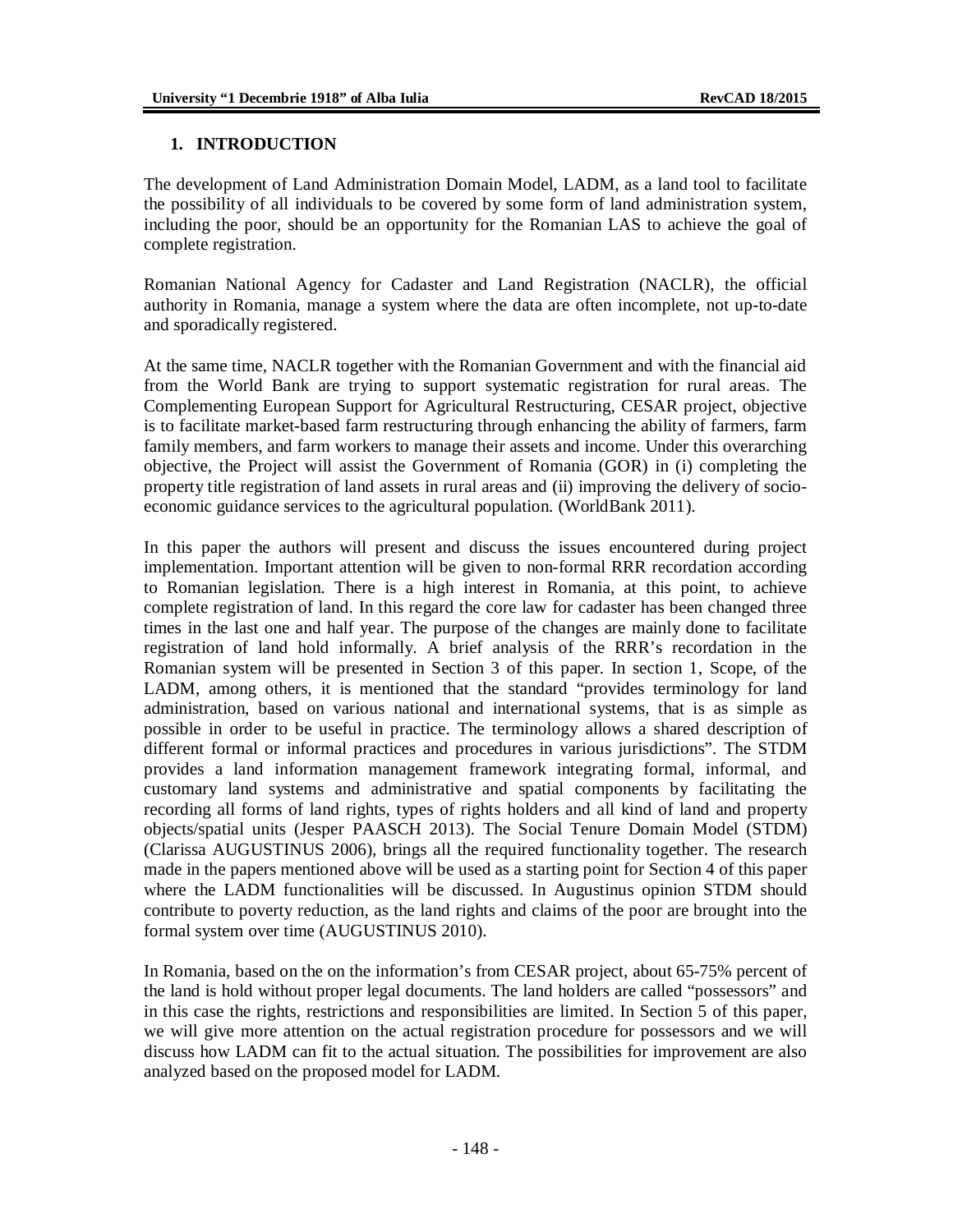#### **1. INTRODUCTION**

The development of Land Administration Domain Model, LADM, as a land tool to facilitate the possibility of all individuals to be covered by some form of land administration system, including the poor, should be an opportunity for the Romanian LAS to achieve the goal of complete registration.

Romanian National Agency for Cadaster and Land Registration (NACLR), the official authority in Romania, manage a system where the data are often incomplete, not up-to-date and sporadically registered.

At the same time, NACLR together with the Romanian Government and with the financial aid from the World Bank are trying to support systematic registration for rural areas. The Complementing European Support for Agricultural Restructuring, CESAR project, objective is to facilitate market-based farm restructuring through enhancing the ability of farmers, farm family members, and farm workers to manage their assets and income. Under this overarching objective, the Project will assist the Government of Romania (GOR) in (i) completing the property title registration of land assets in rural areas and (ii) improving the delivery of socioeconomic guidance services to the agricultural population. (WorldBank 2011).

In this paper the authors will present and discuss the issues encountered during project implementation. Important attention will be given to non-formal RRR recordation according to Romanian legislation. There is a high interest in Romania, at this point, to achieve complete registration of land. In this regard the core law for cadaster has been changed three times in the last one and half year. The purpose of the changes are mainly done to facilitate registration of land hold informally. A brief analysis of the RRR's recordation in the Romanian system will be presented in Section 3 of this paper. In section 1, Scope, of the LADM, among others, it is mentioned that the standard "provides terminology for land administration, based on various national and international systems, that is as simple as possible in order to be useful in practice. The terminology allows a shared description of different formal or informal practices and procedures in various jurisdictions". The STDM provides a land information management framework integrating formal, informal, and customary land systems and administrative and spatial components by facilitating the recording all forms of land rights, types of rights holders and all kind of land and property objects/spatial units (Jesper PAASCH 2013). The Social Tenure Domain Model (STDM) (Clarissa AUGUSTINUS 2006), brings all the required functionality together. The research made in the papers mentioned above will be used as a starting point for Section 4 of this paper where the LADM functionalities will be discussed. In Augustinus opinion STDM should contribute to poverty reduction, as the land rights and claims of the poor are brought into the formal system over time (AUGUSTINUS 2010).

In Romania, based on the on the information's from CESAR project, about 65-75% percent of the land is hold without proper legal documents. The land holders are called "possessors" and in this case the rights, restrictions and responsibilities are limited. In Section 5 of this paper, we will give more attention on the actual registration procedure for possessors and we will discuss how LADM can fit to the actual situation. The possibilities for improvement are also analyzed based on the proposed model for LADM.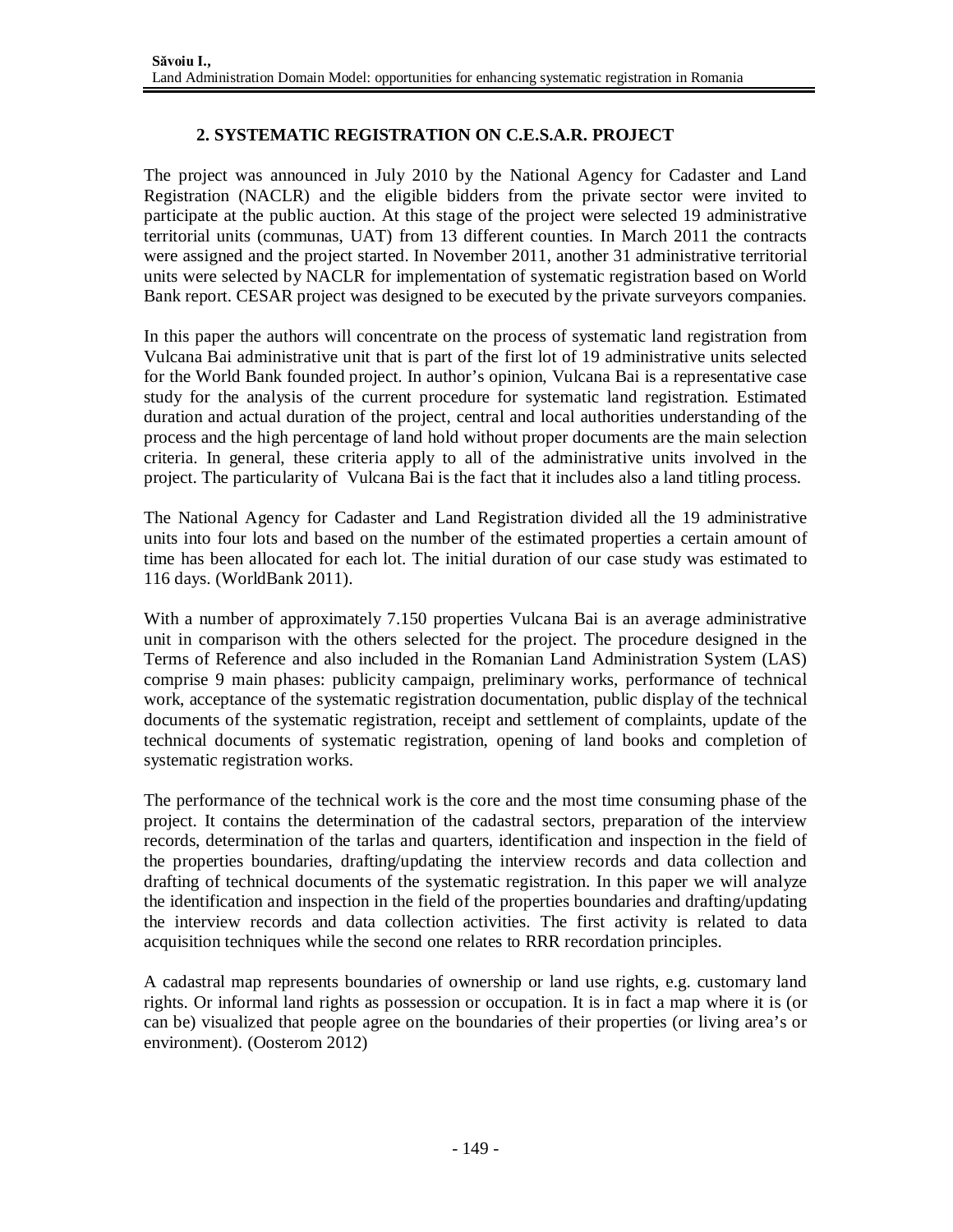# **2. SYSTEMATIC REGISTRATION ON C.E.S.A.R. PROJECT**

The project was announced in July 2010 by the National Agency for Cadaster and Land Registration (NACLR) and the eligible bidders from the private sector were invited to participate at the public auction. At this stage of the project were selected 19 administrative territorial units (communas, UAT) from 13 different counties. In March 2011 the contracts were assigned and the project started. In November 2011, another 31 administrative territorial units were selected by NACLR for implementation of systematic registration based on World Bank report. CESAR project was designed to be executed by the private surveyors companies.

In this paper the authors will concentrate on the process of systematic land registration from Vulcana Bai administrative unit that is part of the first lot of 19 administrative units selected for the World Bank founded project. In author's opinion, Vulcana Bai is a representative case study for the analysis of the current procedure for systematic land registration. Estimated duration and actual duration of the project, central and local authorities understanding of the process and the high percentage of land hold without proper documents are the main selection criteria. In general, these criteria apply to all of the administrative units involved in the project. The particularity of Vulcana Bai is the fact that it includes also a land titling process.

The National Agency for Cadaster and Land Registration divided all the 19 administrative units into four lots and based on the number of the estimated properties a certain amount of time has been allocated for each lot. The initial duration of our case study was estimated to 116 days. (WorldBank 2011).

With a number of approximately 7.150 properties Vulcana Bai is an average administrative unit in comparison with the others selected for the project. The procedure designed in the Terms of Reference and also included in the Romanian Land Administration System (LAS) comprise 9 main phases: publicity campaign, preliminary works, performance of technical work, acceptance of the systematic registration documentation, public display of the technical documents of the systematic registration, receipt and settlement of complaints, update of the technical documents of systematic registration, opening of land books and completion of systematic registration works.

The performance of the technical work is the core and the most time consuming phase of the project. It contains the determination of the cadastral sectors, preparation of the interview records, determination of the tarlas and quarters, identification and inspection in the field of the properties boundaries, drafting/updating the interview records and data collection and drafting of technical documents of the systematic registration. In this paper we will analyze the identification and inspection in the field of the properties boundaries and drafting/updating the interview records and data collection activities. The first activity is related to data acquisition techniques while the second one relates to RRR recordation principles.

A cadastral map represents boundaries of ownership or land use rights, e.g. customary land rights. Or informal land rights as possession or occupation. It is in fact a map where it is (or can be) visualized that people agree on the boundaries of their properties (or living area's or environment). (Oosterom 2012)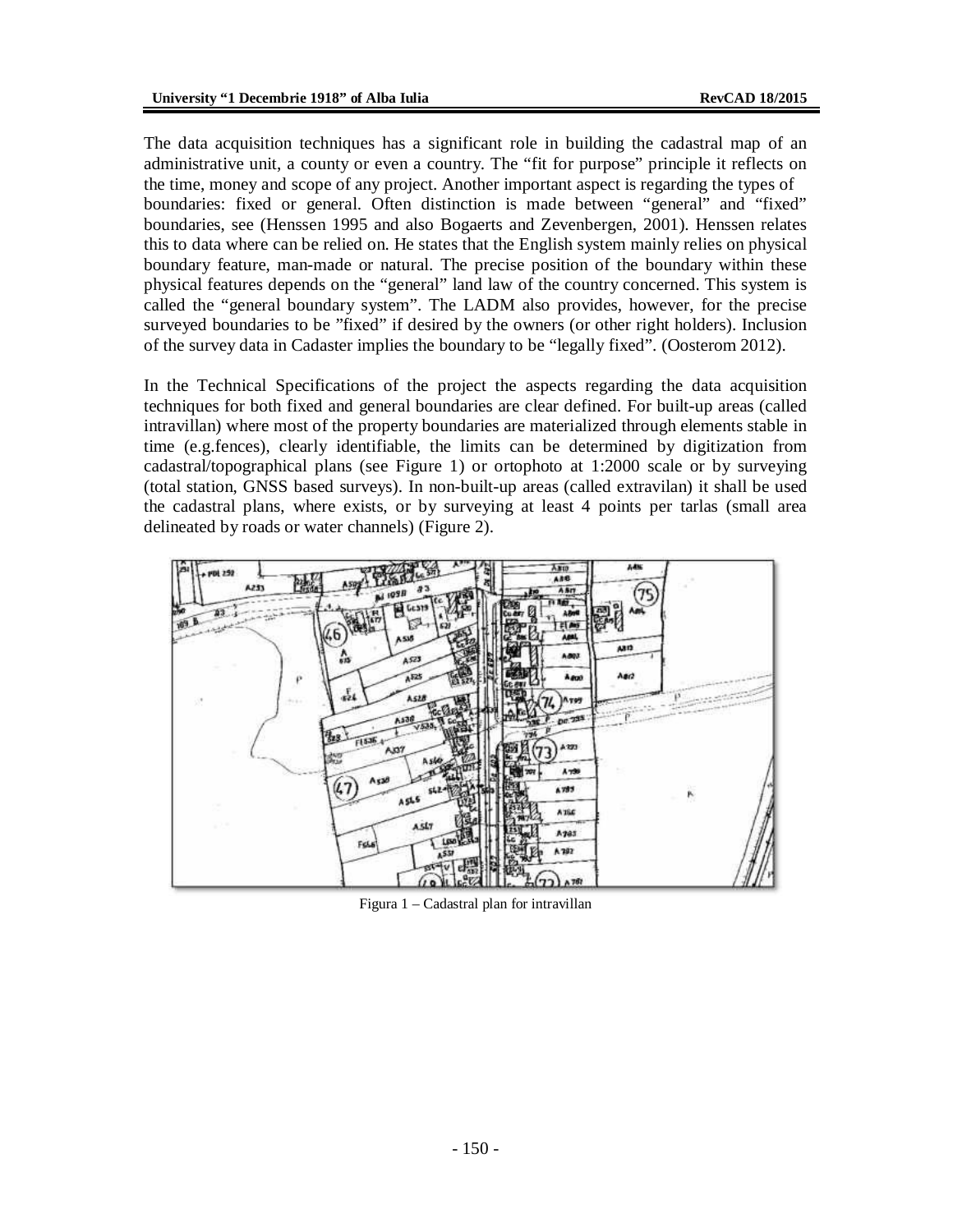The data acquisition techniques has a significant role in building the cadastral map of an administrative unit, a county or even a country. The "fit for purpose" principle it reflects on the time, money and scope of any project. Another important aspect is regarding the types of boundaries: fixed or general. Often distinction is made between "general" and "fixed" boundaries, see (Henssen 1995 and also Bogaerts and Zevenbergen, 2001). Henssen relates this to data where can be relied on. He states that the English system mainly relies on physical boundary feature, man-made or natural. The precise position of the boundary within these physical features depends on the "general" land law of the country concerned. This system is called the "general boundary system". The LADM also provides, however, for the precise surveyed boundaries to be "fixed" if desired by the owners (or other right holders). Inclusion of the survey data in Cadaster implies the boundary to be "legally fixed". (Oosterom 2012).

In the Technical Specifications of the project the aspects regarding the data acquisition techniques for both fixed and general boundaries are clear defined. For built-up areas (called intravillan) where most of the property boundaries are materialized through elements stable in time (e.g.fences), clearly identifiable, the limits can be determined by digitization from cadastral/topographical plans (see Figure 1) or ortophoto at 1:2000 scale or by surveying (total station, GNSS based surveys). In non-built-up areas (called extravilan) it shall be used the cadastral plans, where exists, or by surveying at least 4 points per tarlas (small area delineated by roads or water channels) (Figure 2).



Figura 1 – Cadastral plan for intravillan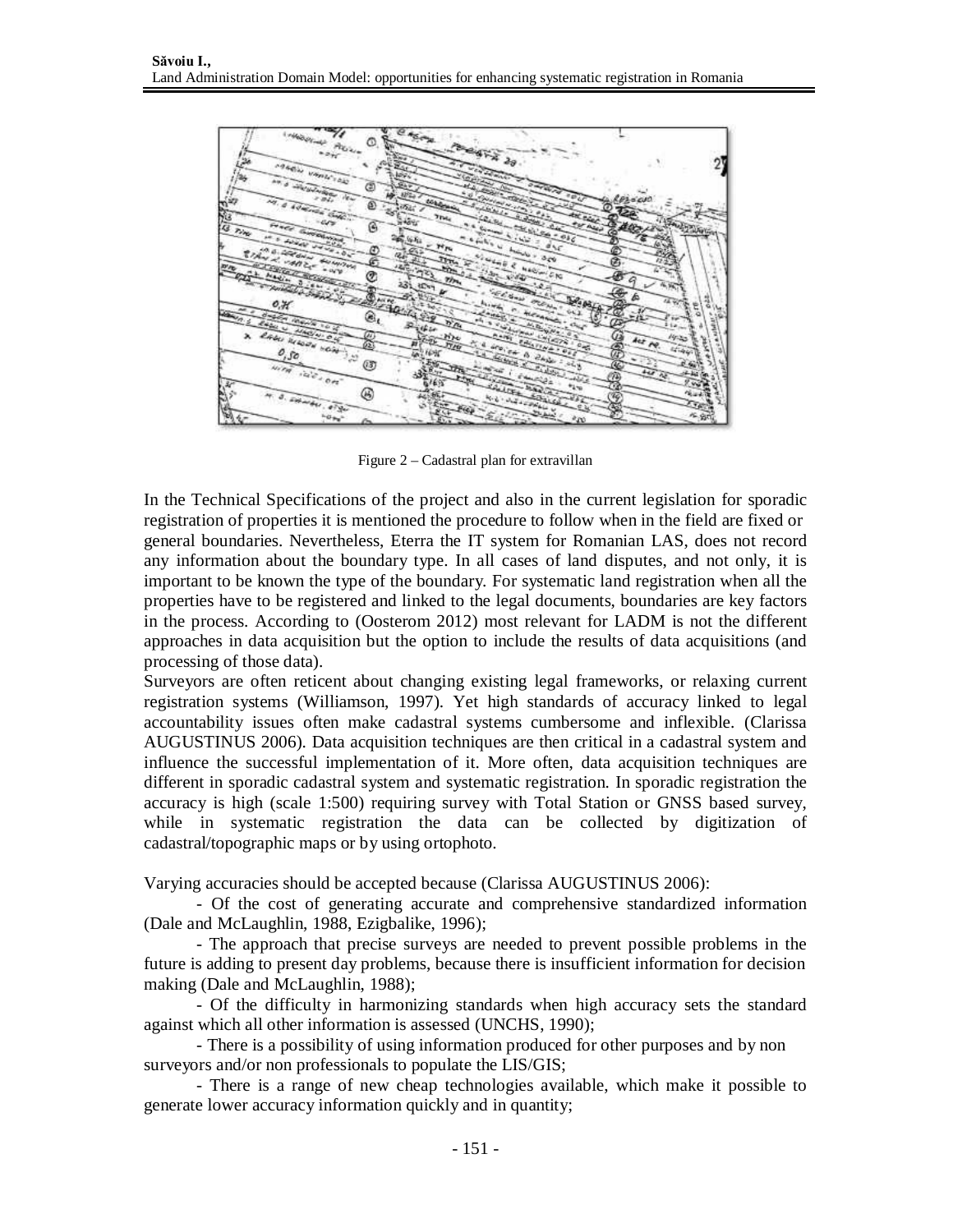

Figure 2 – Cadastral plan for extravillan

In the Technical Specifications of the project and also in the current legislation for sporadic registration of properties it is mentioned the procedure to follow when in the field are fixed or general boundaries. Nevertheless, Eterra the IT system for Romanian LAS, does not record any information about the boundary type. In all cases of land disputes, and not only, it is important to be known the type of the boundary. For systematic land registration when all the properties have to be registered and linked to the legal documents, boundaries are key factors in the process. According to (Oosterom 2012) most relevant for LADM is not the different approaches in data acquisition but the option to include the results of data acquisitions (and processing of those data).

Surveyors are often reticent about changing existing legal frameworks, or relaxing current registration systems (Williamson, 1997). Yet high standards of accuracy linked to legal accountability issues often make cadastral systems cumbersome and inflexible. (Clarissa AUGUSTINUS 2006). Data acquisition techniques are then critical in a cadastral system and influence the successful implementation of it. More often, data acquisition techniques are different in sporadic cadastral system and systematic registration. In sporadic registration the accuracy is high (scale 1:500) requiring survey with Total Station or GNSS based survey, while in systematic registration the data can be collected by digitization of cadastral/topographic maps or by using ortophoto.

Varying accuracies should be accepted because (Clarissa AUGUSTINUS 2006):

- Of the cost of generating accurate and comprehensive standardized information (Dale and McLaughlin, 1988, Ezigbalike, 1996);

- The approach that precise surveys are needed to prevent possible problems in the future is adding to present day problems, because there is insufficient information for decision making (Dale and McLaughlin, 1988);

- Of the difficulty in harmonizing standards when high accuracy sets the standard against which all other information is assessed (UNCHS, 1990);

- There is a possibility of using information produced for other purposes and by non surveyors and/or non professionals to populate the LIS/GIS;

- There is a range of new cheap technologies available, which make it possible to generate lower accuracy information quickly and in quantity;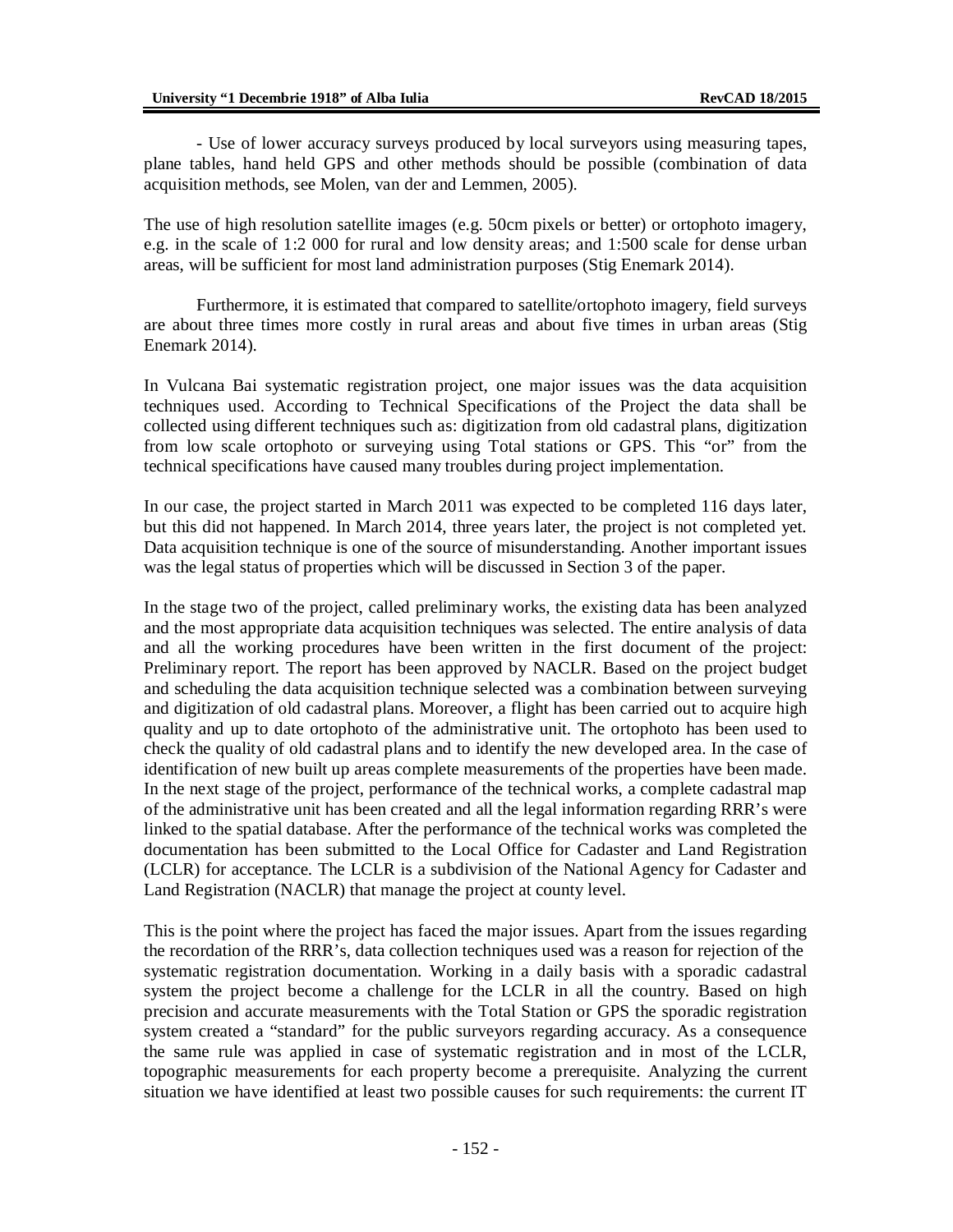- Use of lower accuracy surveys produced by local surveyors using measuring tapes, plane tables, hand held GPS and other methods should be possible (combination of data acquisition methods, see Molen, van der and Lemmen, 2005).

The use of high resolution satellite images (e.g. 50cm pixels or better) or ortophoto imagery, e.g. in the scale of 1:2 000 for rural and low density areas; and 1:500 scale for dense urban areas, will be sufficient for most land administration purposes (Stig Enemark 2014).

Furthermore, it is estimated that compared to satellite/ortophoto imagery, field surveys are about three times more costly in rural areas and about five times in urban areas (Stig Enemark 2014).

In Vulcana Bai systematic registration project, one major issues was the data acquisition techniques used. According to Technical Specifications of the Project the data shall be collected using different techniques such as: digitization from old cadastral plans, digitization from low scale ortophoto or surveying using Total stations or GPS. This "or" from the technical specifications have caused many troubles during project implementation.

In our case, the project started in March 2011 was expected to be completed 116 days later, but this did not happened. In March 2014, three years later, the project is not completed yet. Data acquisition technique is one of the source of misunderstanding. Another important issues was the legal status of properties which will be discussed in Section 3 of the paper.

In the stage two of the project, called preliminary works, the existing data has been analyzed and the most appropriate data acquisition techniques was selected. The entire analysis of data and all the working procedures have been written in the first document of the project: Preliminary report. The report has been approved by NACLR. Based on the project budget and scheduling the data acquisition technique selected was a combination between surveying and digitization of old cadastral plans. Moreover, a flight has been carried out to acquire high quality and up to date ortophoto of the administrative unit. The ortophoto has been used to check the quality of old cadastral plans and to identify the new developed area. In the case of identification of new built up areas complete measurements of the properties have been made. In the next stage of the project, performance of the technical works, a complete cadastral map of the administrative unit has been created and all the legal information regarding RRR's were linked to the spatial database. After the performance of the technical works was completed the documentation has been submitted to the Local Office for Cadaster and Land Registration (LCLR) for acceptance. The LCLR is a subdivision of the National Agency for Cadaster and Land Registration (NACLR) that manage the project at county level.

This is the point where the project has faced the major issues. Apart from the issues regarding the recordation of the RRR's, data collection techniques used was a reason for rejection of the systematic registration documentation. Working in a daily basis with a sporadic cadastral system the project become a challenge for the LCLR in all the country. Based on high precision and accurate measurements with the Total Station or GPS the sporadic registration system created a "standard" for the public surveyors regarding accuracy. As a consequence the same rule was applied in case of systematic registration and in most of the LCLR, topographic measurements for each property become a prerequisite. Analyzing the current situation we have identified at least two possible causes for such requirements: the current IT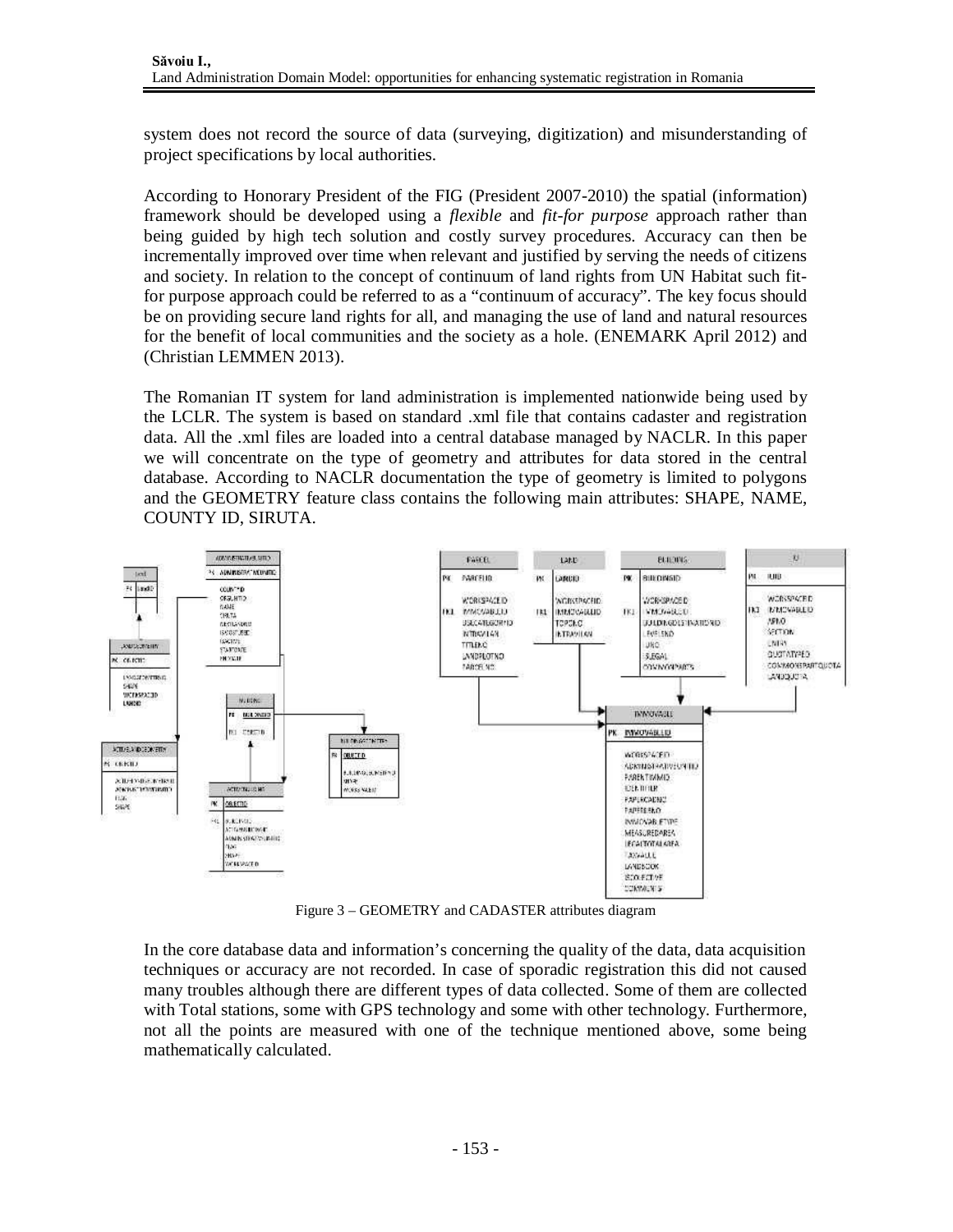system does not record the source of data (surveying, digitization) and misunderstanding of project specifications by local authorities.

According to Honorary President of the FIG (President 2007-2010) the spatial (information) framework should be developed using a *flexible* and *fit-for purpose* approach rather than being guided by high tech solution and costly survey procedures. Accuracy can then be incrementally improved over time when relevant and justified by serving the needs of citizens and society. In relation to the concept of continuum of land rights from UN Habitat such fitfor purpose approach could be referred to as a "continuum of accuracy". The key focus should be on providing secure land rights for all, and managing the use of land and natural resources for the benefit of local communities and the society as a hole. (ENEMARK April 2012) and (Christian LEMMEN 2013).

The Romanian IT system for land administration is implemented nationwide being used by the LCLR. The system is based on standard .xml file that contains cadaster and registration data. All the .xml files are loaded into a central database managed by NACLR. In this paper we will concentrate on the type of geometry and attributes for data stored in the central database. According to NACLR documentation the type of geometry is limited to polygons and the GEOMETRY feature class contains the following main attributes: SHAPE, NAME, COUNTY ID, SIRUTA.



Figure 3 – GEOMETRY and CADASTER attributes diagram

In the core database data and information's concerning the quality of the data, data acquisition techniques or accuracy are not recorded. In case of sporadic registration this did not caused many troubles although there are different types of data collected. Some of them are collected with Total stations, some with GPS technology and some with other technology. Furthermore, not all the points are measured with one of the technique mentioned above, some being mathematically calculated.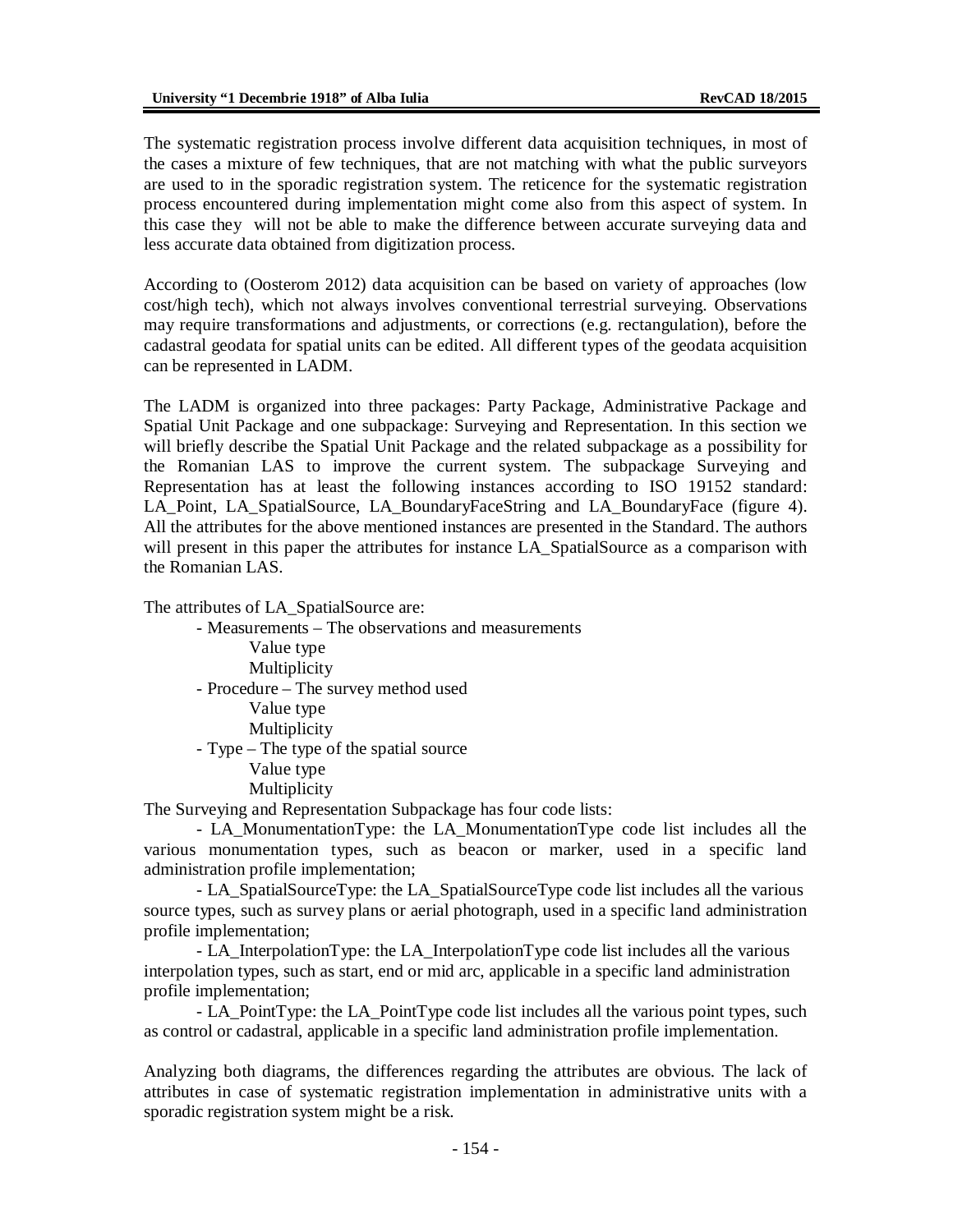The systematic registration process involve different data acquisition techniques, in most of the cases a mixture of few techniques, that are not matching with what the public surveyors are used to in the sporadic registration system. The reticence for the systematic registration process encountered during implementation might come also from this aspect of system. In this case they will not be able to make the difference between accurate surveying data and less accurate data obtained from digitization process.

According to (Oosterom 2012) data acquisition can be based on variety of approaches (low cost/high tech), which not always involves conventional terrestrial surveying. Observations may require transformations and adjustments, or corrections (e.g. rectangulation), before the cadastral geodata for spatial units can be edited. All different types of the geodata acquisition can be represented in LADM.

The LADM is organized into three packages: Party Package, Administrative Package and Spatial Unit Package and one subpackage: Surveying and Representation. In this section we will briefly describe the Spatial Unit Package and the related subpackage as a possibility for the Romanian LAS to improve the current system. The subpackage Surveying and Representation has at least the following instances according to ISO 19152 standard: LA\_Point, LA\_SpatialSource, LA\_BoundaryFaceString and LA\_BoundaryFace (figure 4). All the attributes for the above mentioned instances are presented in the Standard. The authors will present in this paper the attributes for instance LA\_SpatialSource as a comparison with the Romanian LAS.

The attributes of LA\_SpatialSource are:

- Measurements – The observations and measurements Value type Multiplicity - Procedure – The survey method used Value type Multiplicity - Type – The type of the spatial source Value type Multiplicity

The Surveying and Representation Subpackage has four code lists:

- LA\_MonumentationType: the LA\_MonumentationType code list includes all the various monumentation types, such as beacon or marker, used in a specific land administration profile implementation;

- LA\_SpatialSourceType: the LA\_SpatialSourceType code list includes all the various source types, such as survey plans or aerial photograph, used in a specific land administration profile implementation;

- LA\_InterpolationType: the LA\_InterpolationType code list includes all the various interpolation types, such as start, end or mid arc, applicable in a specific land administration profile implementation;

- LA\_PointType: the LA\_PointType code list includes all the various point types, such as control or cadastral, applicable in a specific land administration profile implementation.

Analyzing both diagrams, the differences regarding the attributes are obvious. The lack of attributes in case of systematic registration implementation in administrative units with a sporadic registration system might be a risk.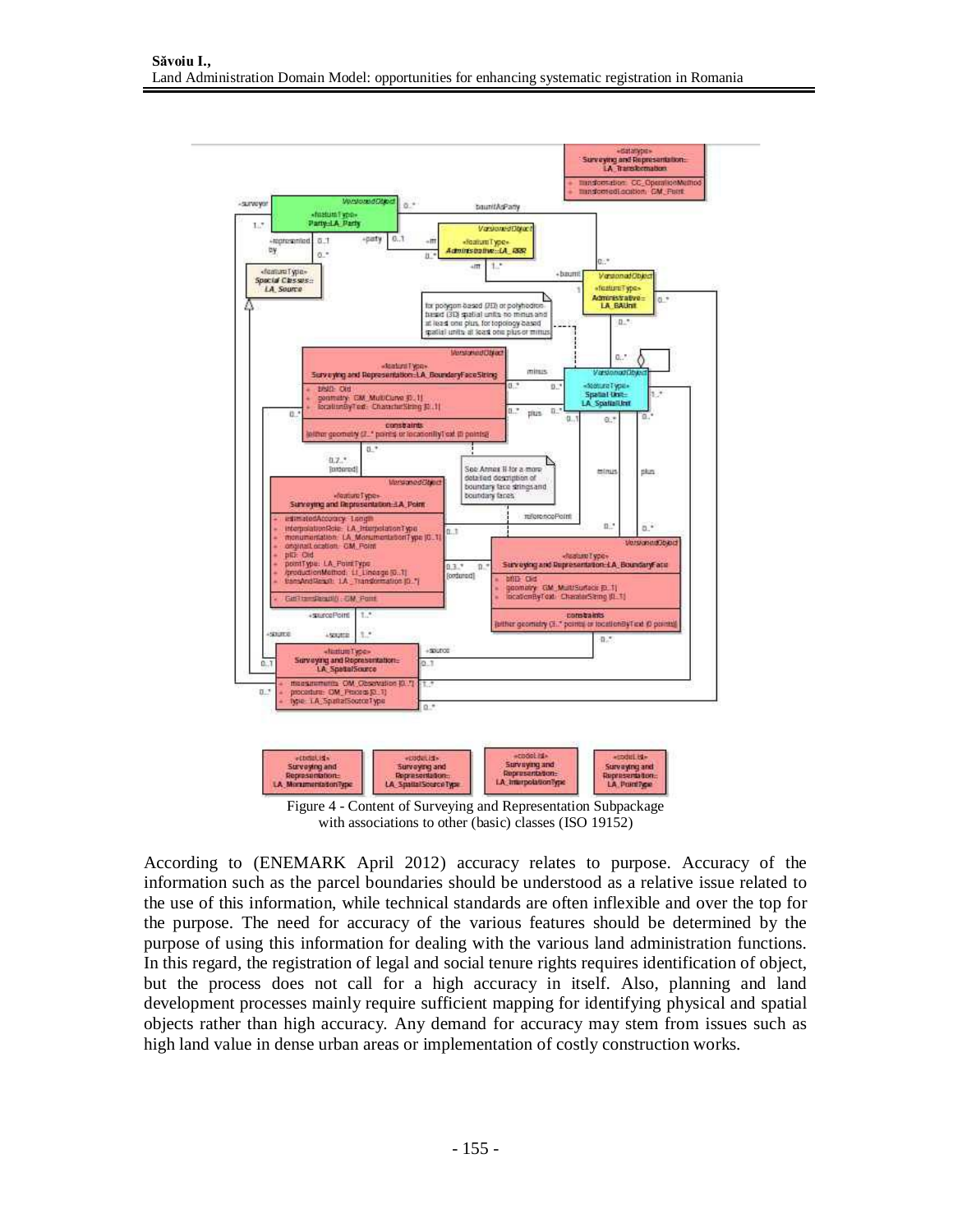

Figure 4 - Content of Surveying and Representation Subpackage with associations to other (basic) classes (ISO 19152)

According to (ENEMARK April 2012) accuracy relates to purpose. Accuracy of the information such as the parcel boundaries should be understood as a relative issue related to the use of this information, while technical standards are often inflexible and over the top for the purpose. The need for accuracy of the various features should be determined by the purpose of using this information for dealing with the various land administration functions. In this regard, the registration of legal and social tenure rights requires identification of object, but the process does not call for a high accuracy in itself. Also, planning and land development processes mainly require sufficient mapping for identifying physical and spatial objects rather than high accuracy. Any demand for accuracy may stem from issues such as high land value in dense urban areas or implementation of costly construction works.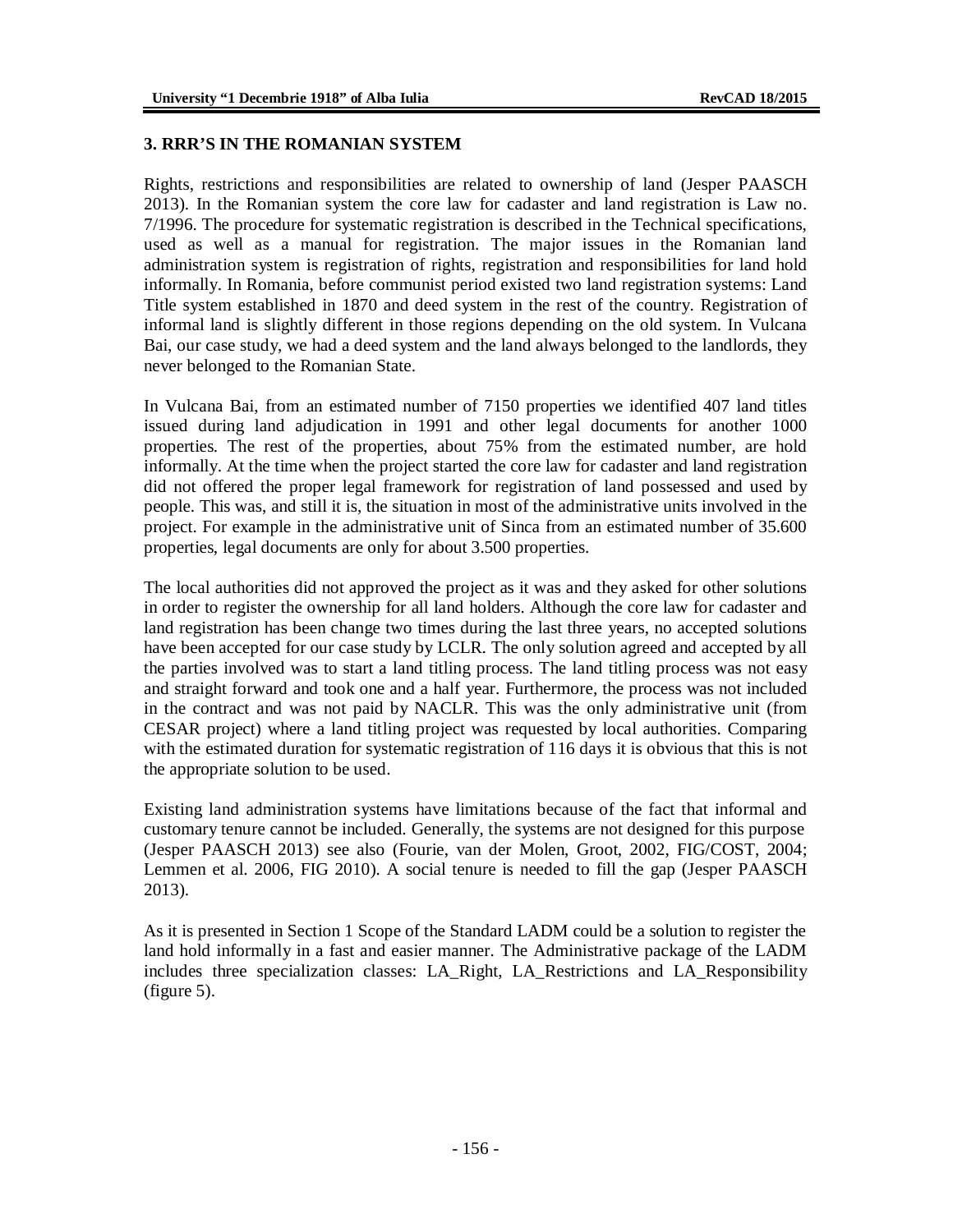#### **3. RRR'S IN THE ROMANIAN SYSTEM**

Rights, restrictions and responsibilities are related to ownership of land (Jesper PAASCH 2013). In the Romanian system the core law for cadaster and land registration is Law no. 7/1996. The procedure for systematic registration is described in the Technical specifications, used as well as a manual for registration. The major issues in the Romanian land administration system is registration of rights, registration and responsibilities for land hold informally. In Romania, before communist period existed two land registration systems: Land Title system established in 1870 and deed system in the rest of the country. Registration of informal land is slightly different in those regions depending on the old system. In Vulcana Bai, our case study, we had a deed system and the land always belonged to the landlords, they never belonged to the Romanian State.

In Vulcana Bai, from an estimated number of 7150 properties we identified 407 land titles issued during land adjudication in 1991 and other legal documents for another 1000 properties. The rest of the properties, about 75% from the estimated number, are hold informally. At the time when the project started the core law for cadaster and land registration did not offered the proper legal framework for registration of land possessed and used by people. This was, and still it is, the situation in most of the administrative units involved in the project. For example in the administrative unit of Sinca from an estimated number of 35.600 properties, legal documents are only for about 3.500 properties.

The local authorities did not approved the project as it was and they asked for other solutions in order to register the ownership for all land holders. Although the core law for cadaster and land registration has been change two times during the last three years, no accepted solutions have been accepted for our case study by LCLR. The only solution agreed and accepted by all the parties involved was to start a land titling process. The land titling process was not easy and straight forward and took one and a half year. Furthermore, the process was not included in the contract and was not paid by NACLR. This was the only administrative unit (from CESAR project) where a land titling project was requested by local authorities. Comparing with the estimated duration for systematic registration of 116 days it is obvious that this is not the appropriate solution to be used.

Existing land administration systems have limitations because of the fact that informal and customary tenure cannot be included. Generally, the systems are not designed for this purpose (Jesper PAASCH 2013) see also (Fourie, van der Molen, Groot, 2002, FIG/COST, 2004; Lemmen et al. 2006, FIG 2010). A social tenure is needed to fill the gap (Jesper PAASCH 2013).

As it is presented in Section 1 Scope of the Standard LADM could be a solution to register the land hold informally in a fast and easier manner. The Administrative package of the LADM includes three specialization classes: LA\_Right, LA\_Restrictions and LA\_Responsibility (figure 5).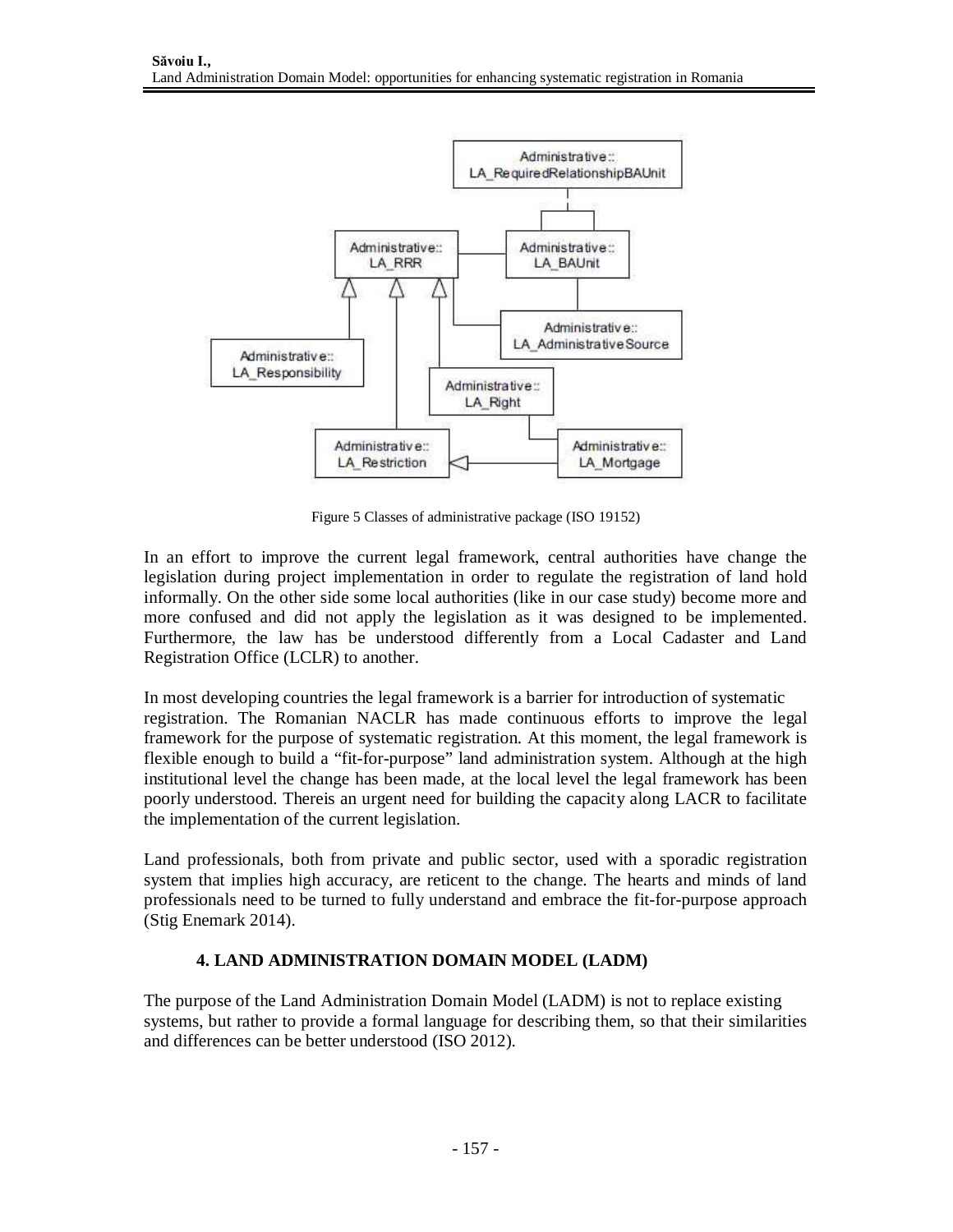

Figure 5 Classes of administrative package (ISO 19152)

In an effort to improve the current legal framework, central authorities have change the legislation during project implementation in order to regulate the registration of land hold informally. On the other side some local authorities (like in our case study) become more and more confused and did not apply the legislation as it was designed to be implemented. Furthermore, the law has be understood differently from a Local Cadaster and Land Registration Office (LCLR) to another.

In most developing countries the legal framework is a barrier for introduction of systematic registration. The Romanian NACLR has made continuous efforts to improve the legal framework for the purpose of systematic registration. At this moment, the legal framework is flexible enough to build a "fit-for-purpose" land administration system. Although at the high institutional level the change has been made, at the local level the legal framework has been poorly understood. Thereis an urgent need for building the capacity along LACR to facilitate the implementation of the current legislation.

Land professionals, both from private and public sector, used with a sporadic registration system that implies high accuracy, are reticent to the change. The hearts and minds of land professionals need to be turned to fully understand and embrace the fit-for-purpose approach (Stig Enemark 2014).

## **4. LAND ADMINISTRATION DOMAIN MODEL (LADM)**

The purpose of the Land Administration Domain Model (LADM) is not to replace existing systems, but rather to provide a formal language for describing them, so that their similarities and differences can be better understood (ISO 2012).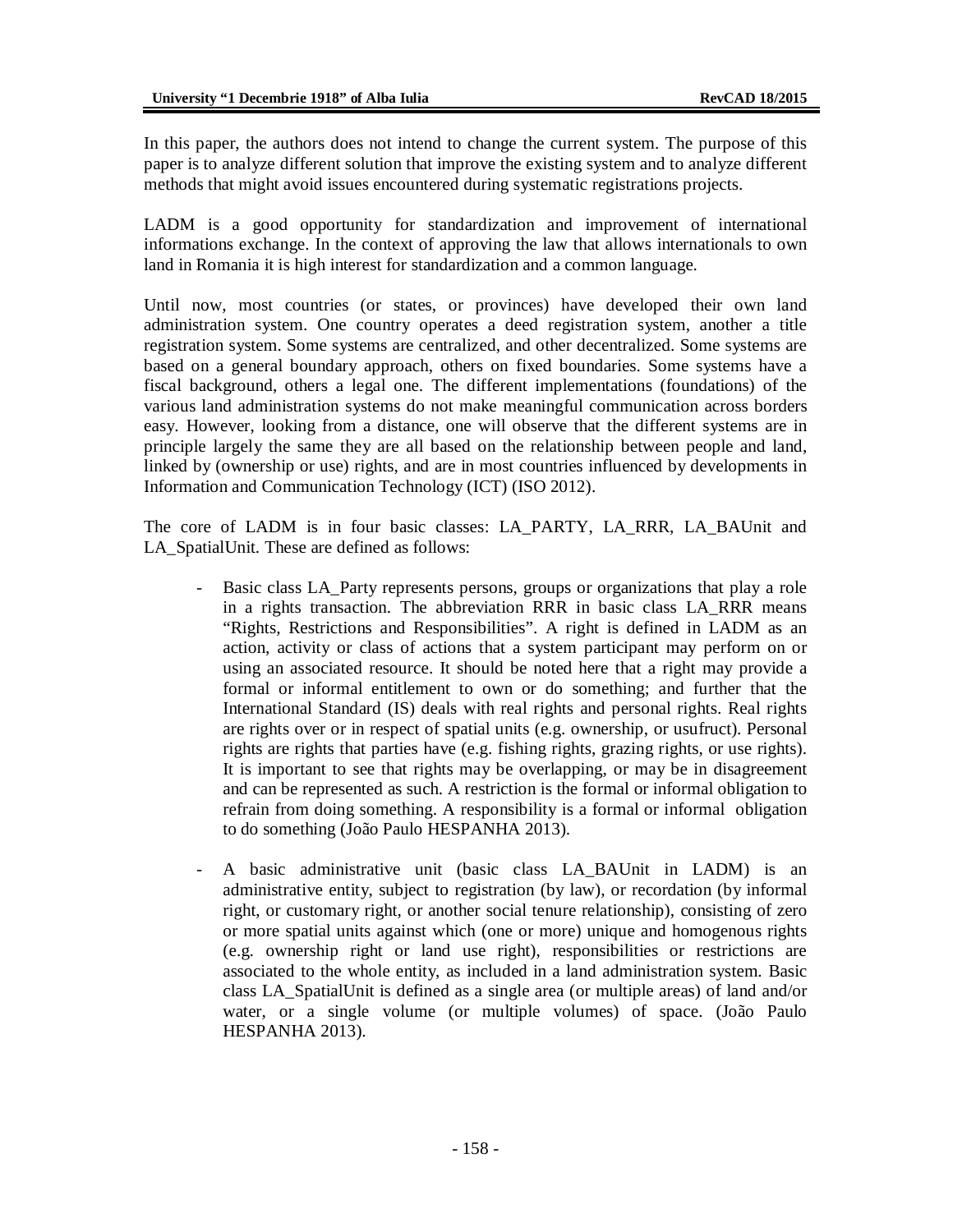In this paper, the authors does not intend to change the current system. The purpose of this paper is to analyze different solution that improve the existing system and to analyze different methods that might avoid issues encountered during systematic registrations projects.

LADM is a good opportunity for standardization and improvement of international informations exchange. In the context of approving the law that allows internationals to own land in Romania it is high interest for standardization and a common language.

Until now, most countries (or states, or provinces) have developed their own land administration system. One country operates a deed registration system, another a title registration system. Some systems are centralized, and other decentralized. Some systems are based on a general boundary approach, others on fixed boundaries. Some systems have a fiscal background, others a legal one. The different implementations (foundations) of the various land administration systems do not make meaningful communication across borders easy. However, looking from a distance, one will observe that the different systems are in principle largely the same they are all based on the relationship between people and land, linked by (ownership or use) rights, and are in most countries influenced by developments in Information and Communication Technology (ICT) (ISO 2012).

The core of LADM is in four basic classes: LA\_PARTY, LA\_RRR, LA\_BAUnit and LA\_SpatialUnit. These are defined as follows:

- Basic class LA\_Party represents persons, groups or organizations that play a role in a rights transaction. The abbreviation RRR in basic class LA\_RRR means "Rights, Restrictions and Responsibilities". A right is defined in LADM as an action, activity or class of actions that a system participant may perform on or using an associated resource. It should be noted here that a right may provide a formal or informal entitlement to own or do something; and further that the International Standard (IS) deals with real rights and personal rights. Real rights are rights over or in respect of spatial units (e.g. ownership, or usufruct). Personal rights are rights that parties have (e.g. fishing rights, grazing rights, or use rights). It is important to see that rights may be overlapping, or may be in disagreement and can be represented as such. A restriction is the formal or informal obligation to refrain from doing something. A responsibility is a formal or informal obligation to do something (João Paulo HESPANHA 2013).
- A basic administrative unit (basic class LA\_BAUnit in LADM) is an administrative entity, subject to registration (by law), or recordation (by informal right, or customary right, or another social tenure relationship), consisting of zero or more spatial units against which (one or more) unique and homogenous rights (e.g. ownership right or land use right), responsibilities or restrictions are associated to the whole entity, as included in a land administration system. Basic class LA\_SpatialUnit is defined as a single area (or multiple areas) of land and/or water, or a single volume (or multiple volumes) of space. (João Paulo HESPANHA 2013).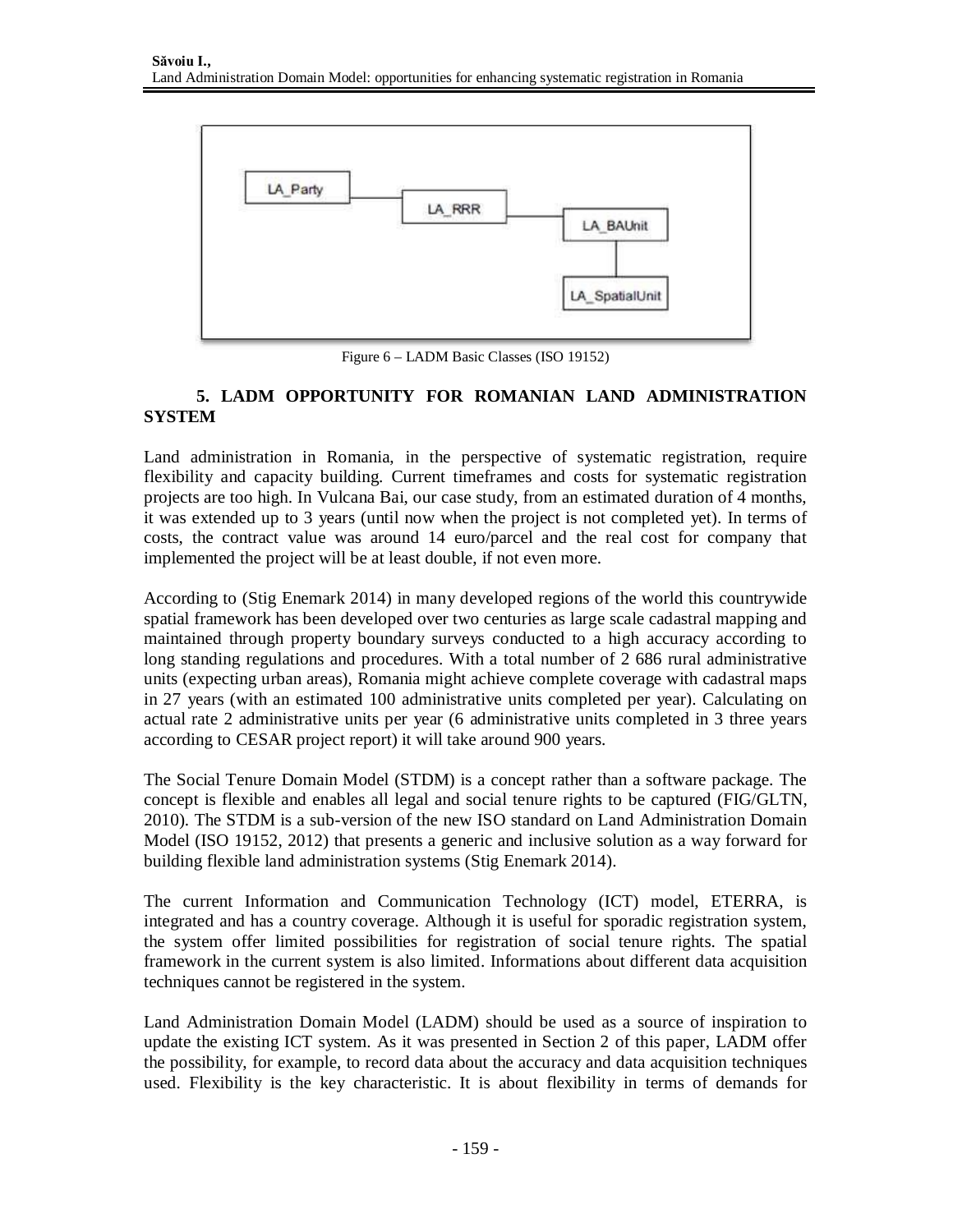

Figure 6 – LADM Basic Classes (ISO 19152)

# **5. LADM OPPORTUNITY FOR ROMANIAN LAND ADMINISTRATION SYSTEM**

Land administration in Romania, in the perspective of systematic registration, require flexibility and capacity building. Current timeframes and costs for systematic registration projects are too high. In Vulcana Bai, our case study, from an estimated duration of 4 months, it was extended up to 3 years (until now when the project is not completed yet). In terms of costs, the contract value was around 14 euro/parcel and the real cost for company that implemented the project will be at least double, if not even more.

According to (Stig Enemark 2014) in many developed regions of the world this countrywide spatial framework has been developed over two centuries as large scale cadastral mapping and maintained through property boundary surveys conducted to a high accuracy according to long standing regulations and procedures. With a total number of 2 686 rural administrative units (expecting urban areas), Romania might achieve complete coverage with cadastral maps in 27 years (with an estimated 100 administrative units completed per year). Calculating on actual rate 2 administrative units per year (6 administrative units completed in 3 three years according to CESAR project report) it will take around 900 years.

The Social Tenure Domain Model (STDM) is a concept rather than a software package. The concept is flexible and enables all legal and social tenure rights to be captured (FIG/GLTN, 2010). The STDM is a sub-version of the new ISO standard on Land Administration Domain Model (ISO 19152, 2012) that presents a generic and inclusive solution as a way forward for building flexible land administration systems (Stig Enemark 2014).

The current Information and Communication Technology (ICT) model, ETERRA, is integrated and has a country coverage. Although it is useful for sporadic registration system, the system offer limited possibilities for registration of social tenure rights. The spatial framework in the current system is also limited. Informations about different data acquisition techniques cannot be registered in the system.

Land Administration Domain Model (LADM) should be used as a source of inspiration to update the existing ICT system. As it was presented in Section 2 of this paper, LADM offer the possibility, for example, to record data about the accuracy and data acquisition techniques used. Flexibility is the key characteristic. It is about flexibility in terms of demands for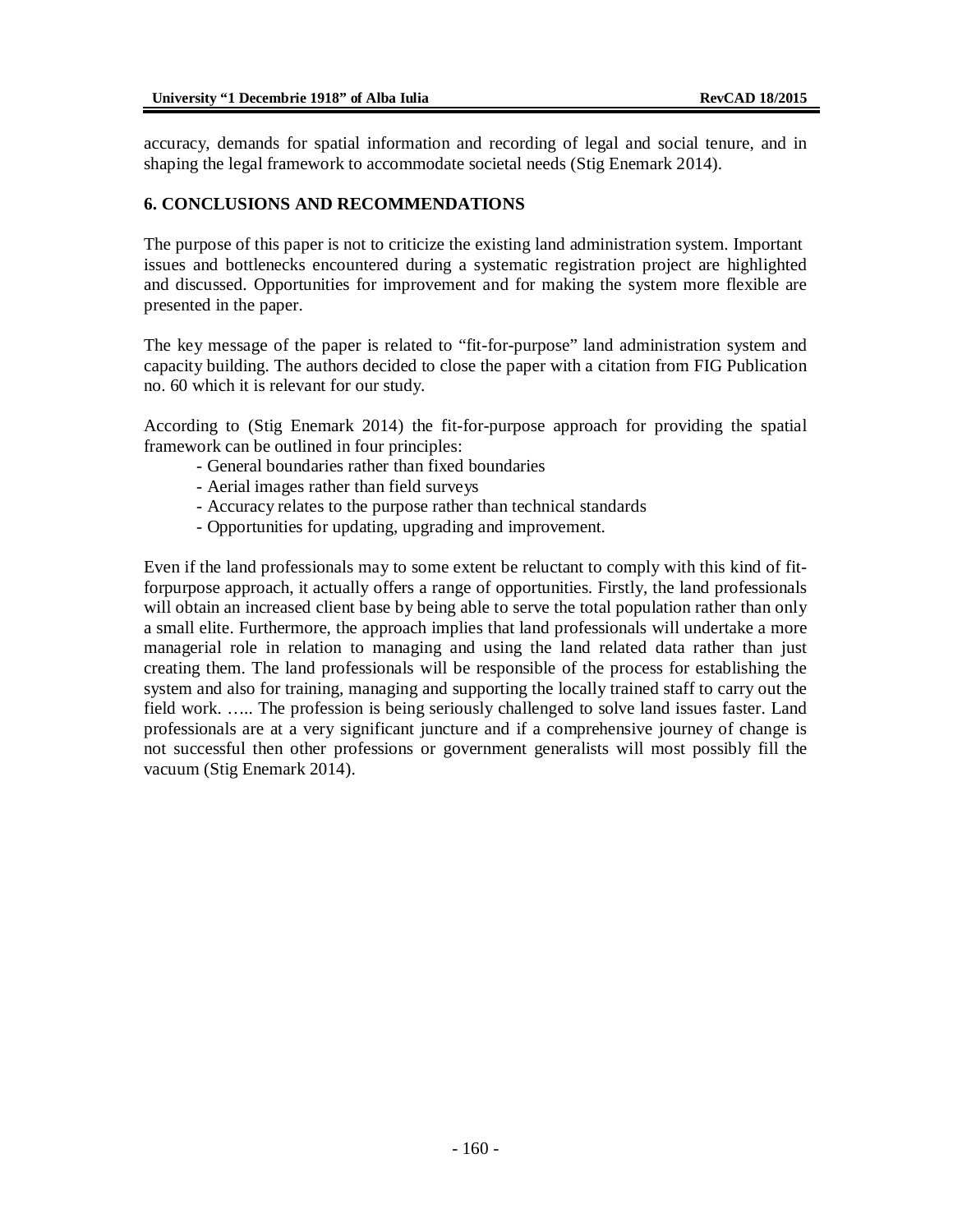accuracy, demands for spatial information and recording of legal and social tenure, and in shaping the legal framework to accommodate societal needs (Stig Enemark 2014).

#### **6. CONCLUSIONS AND RECOMMENDATIONS**

The purpose of this paper is not to criticize the existing land administration system. Important issues and bottlenecks encountered during a systematic registration project are highlighted and discussed. Opportunities for improvement and for making the system more flexible are presented in the paper.

The key message of the paper is related to "fit-for-purpose" land administration system and capacity building. The authors decided to close the paper with a citation from FIG Publication no. 60 which it is relevant for our study.

According to (Stig Enemark 2014) the fit-for-purpose approach for providing the spatial framework can be outlined in four principles:

- General boundaries rather than fixed boundaries
- Aerial images rather than field surveys
- Accuracy relates to the purpose rather than technical standards
- Opportunities for updating, upgrading and improvement.

Even if the land professionals may to some extent be reluctant to comply with this kind of fitforpurpose approach, it actually offers a range of opportunities. Firstly, the land professionals will obtain an increased client base by being able to serve the total population rather than only a small elite. Furthermore, the approach implies that land professionals will undertake a more managerial role in relation to managing and using the land related data rather than just creating them. The land professionals will be responsible of the process for establishing the system and also for training, managing and supporting the locally trained staff to carry out the field work. ….. The profession is being seriously challenged to solve land issues faster. Land professionals are at a very significant juncture and if a comprehensive journey of change is not successful then other professions or government generalists will most possibly fill the vacuum (Stig Enemark 2014).